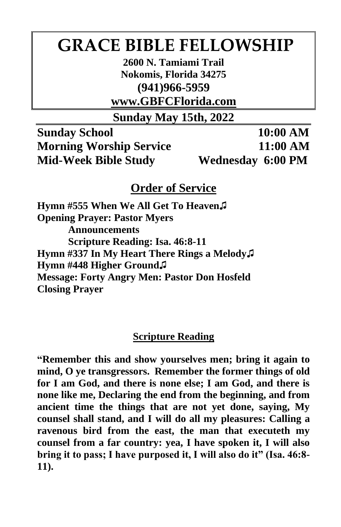# **GRACE BIBLE FELLOWSHIP**

**2600 N. Tamiami Trail Nokomis, Florida 34275 (941)966-5959**

**www.GBFCFlorida.com**

**Sunday May 15th, 2022**

**Sunday School 10:00 AM Morning Worship Service 11:00 AM Mid-Week Bible Study Wednesday 6:00 PM**

## **Order of Service**

**Hymn #555 When We All Get To Heaven♫ Opening Prayer: Pastor Myers Announcements Scripture Reading: Isa. 46:8-11 Hymn #337 In My Heart There Rings a Melody♫ Hymn #448 Higher Ground♫ Message: Forty Angry Men: Pastor Don Hosfeld Closing Prayer**

## **Scripture Reading**

**"Remember this and show yourselves men; bring it again to mind, O ye transgressors. Remember the former things of old for I am God, and there is none else; I am God, and there is none like me, Declaring the end from the beginning, and from ancient time the things that are not yet done, saying, My counsel shall stand, and I will do all my pleasures: Calling a ravenous bird from the east, the man that executeth my counsel from a far country: yea, I have spoken it, I will also bring it to pass; I have purposed it, I will also do it" (Isa. 46:8- 11).**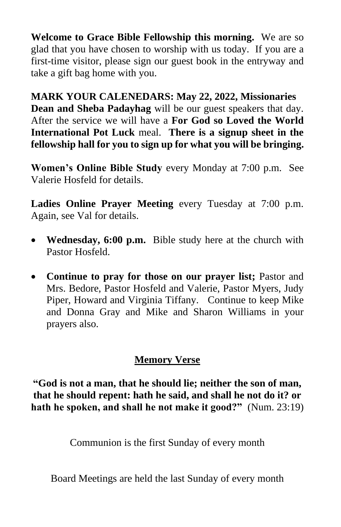**Welcome to Grace Bible Fellowship this morning.** We are so glad that you have chosen to worship with us today. If you are a first-time visitor, please sign our guest book in the entryway and take a gift bag home with you.

**MARK YOUR CALENEDARS: May 22, 2022, Missionaries Dean and Sheba Padayhag** will be our guest speakers that day. After the service we will have a **For God so Loved the World International Pot Luck** meal. **There is a signup sheet in the fellowship hall for you to sign up for what you will be bringing.**

**Women's Online Bible Study** every Monday at 7:00 p.m. See Valerie Hosfeld for details.

**Ladies Online Prayer Meeting** every Tuesday at 7:00 p.m. Again, see Val for details.

- **Wednesday, 6:00 p.m.** Bible study here at the church with Pastor Hosfeld.
- **Continue to pray for those on our prayer list;** Pastor and Mrs. Bedore, Pastor Hosfeld and Valerie, Pastor Myers, Judy Piper, Howard and Virginia Tiffany. Continue to keep Mike and Donna Gray and Mike and Sharon Williams in your prayers also.

## **Memory Verse**

**"God is not a man, that he should lie; neither the son of man, that he should repent: hath he said, and shall he not do it? or hath he spoken, and shall he not make it good?"** (Num. 23:19)

Communion is the first Sunday of every month

Board Meetings are held the last Sunday of every month